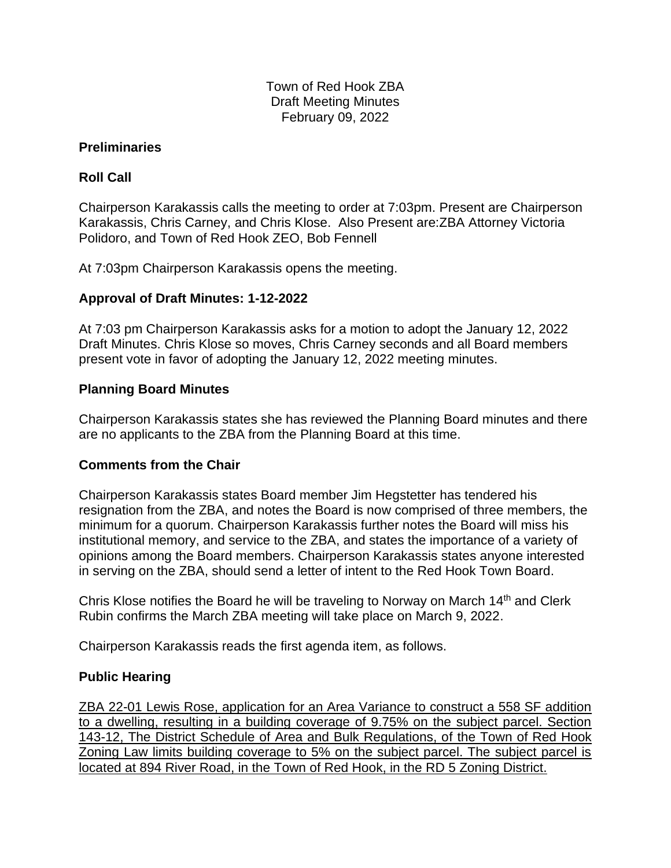Town of Red Hook ZBA Draft Meeting Minutes February 09, 2022

#### **Preliminaries**

## **Roll Call**

Chairperson Karakassis calls the meeting to order at 7:03pm. Present are Chairperson Karakassis, Chris Carney, and Chris Klose. Also Present are:ZBA Attorney Victoria Polidoro, and Town of Red Hook ZEO, Bob Fennell

At 7:03pm Chairperson Karakassis opens the meeting.

## **Approval of Draft Minutes: 1-12-2022**

At 7:03 pm Chairperson Karakassis asks for a motion to adopt the January 12, 2022 Draft Minutes. Chris Klose so moves, Chris Carney seconds and all Board members present vote in favor of adopting the January 12, 2022 meeting minutes.

### **Planning Board Minutes**

Chairperson Karakassis states she has reviewed the Planning Board minutes and there are no applicants to the ZBA from the Planning Board at this time.

#### **Comments from the Chair**

Chairperson Karakassis states Board member Jim Hegstetter has tendered his resignation from the ZBA, and notes the Board is now comprised of three members, the minimum for a quorum. Chairperson Karakassis further notes the Board will miss his institutional memory, and service to the ZBA, and states the importance of a variety of opinions among the Board members. Chairperson Karakassis states anyone interested in serving on the ZBA, should send a letter of intent to the Red Hook Town Board.

Chris Klose notifies the Board he will be traveling to Norway on March  $14<sup>th</sup>$  and Clerk Rubin confirms the March ZBA meeting will take place on March 9, 2022.

Chairperson Karakassis reads the first agenda item, as follows.

## **Public Hearing**

ZBA 22-01 Lewis Rose, application for an Area Variance to construct a 558 SF addition to a dwelling, resulting in a building coverage of 9.75% on the subject parcel. Section 143-12, The District Schedule of Area and Bulk Regulations, of the Town of Red Hook Zoning Law limits building coverage to 5% on the subject parcel. The subject parcel is located at 894 River Road, in the Town of Red Hook, in the RD 5 Zoning District.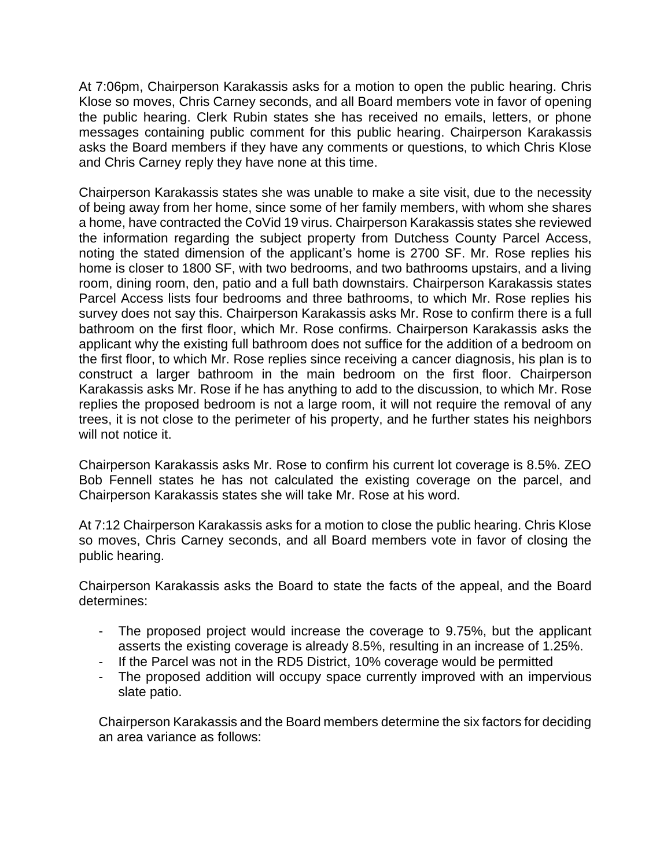At 7:06pm, Chairperson Karakassis asks for a motion to open the public hearing. Chris Klose so moves, Chris Carney seconds, and all Board members vote in favor of opening the public hearing. Clerk Rubin states she has received no emails, letters, or phone messages containing public comment for this public hearing. Chairperson Karakassis asks the Board members if they have any comments or questions, to which Chris Klose and Chris Carney reply they have none at this time.

Chairperson Karakassis states she was unable to make a site visit, due to the necessity of being away from her home, since some of her family members, with whom she shares a home, have contracted the CoVid 19 virus. Chairperson Karakassis states she reviewed the information regarding the subject property from Dutchess County Parcel Access, noting the stated dimension of the applicant's home is 2700 SF. Mr. Rose replies his home is closer to 1800 SF, with two bedrooms, and two bathrooms upstairs, and a living room, dining room, den, patio and a full bath downstairs. Chairperson Karakassis states Parcel Access lists four bedrooms and three bathrooms, to which Mr. Rose replies his survey does not say this. Chairperson Karakassis asks Mr. Rose to confirm there is a full bathroom on the first floor, which Mr. Rose confirms. Chairperson Karakassis asks the applicant why the existing full bathroom does not suffice for the addition of a bedroom on the first floor, to which Mr. Rose replies since receiving a cancer diagnosis, his plan is to construct a larger bathroom in the main bedroom on the first floor. Chairperson Karakassis asks Mr. Rose if he has anything to add to the discussion, to which Mr. Rose replies the proposed bedroom is not a large room, it will not require the removal of any trees, it is not close to the perimeter of his property, and he further states his neighbors will not notice it.

Chairperson Karakassis asks Mr. Rose to confirm his current lot coverage is 8.5%. ZEO Bob Fennell states he has not calculated the existing coverage on the parcel, and Chairperson Karakassis states she will take Mr. Rose at his word.

At 7:12 Chairperson Karakassis asks for a motion to close the public hearing. Chris Klose so moves, Chris Carney seconds, and all Board members vote in favor of closing the public hearing.

Chairperson Karakassis asks the Board to state the facts of the appeal, and the Board determines:

- The proposed project would increase the coverage to 9.75%, but the applicant asserts the existing coverage is already 8.5%, resulting in an increase of 1.25%.
- If the Parcel was not in the RD5 District, 10% coverage would be permitted
- The proposed addition will occupy space currently improved with an impervious slate patio.

Chairperson Karakassis and the Board members determine the six factors for deciding an area variance as follows: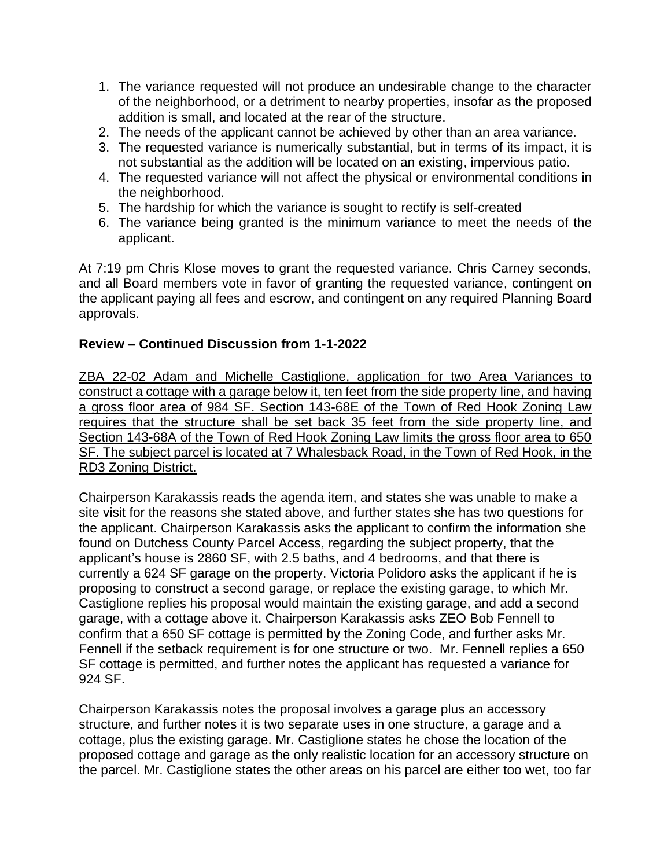- 1. The variance requested will not produce an undesirable change to the character of the neighborhood, or a detriment to nearby properties, insofar as the proposed addition is small, and located at the rear of the structure.
- 2. The needs of the applicant cannot be achieved by other than an area variance.
- 3. The requested variance is numerically substantial, but in terms of its impact, it is not substantial as the addition will be located on an existing, impervious patio.
- 4. The requested variance will not affect the physical or environmental conditions in the neighborhood.
- 5. The hardship for which the variance is sought to rectify is self-created
- 6. The variance being granted is the minimum variance to meet the needs of the applicant.

At 7:19 pm Chris Klose moves to grant the requested variance. Chris Carney seconds, and all Board members vote in favor of granting the requested variance, contingent on the applicant paying all fees and escrow, and contingent on any required Planning Board approvals.

### **Review – Continued Discussion from 1-1-2022**

ZBA 22-02 Adam and Michelle Castiglione, application for two Area Variances to construct a cottage with a garage below it, ten feet from the side property line, and having a gross floor area of 984 SF. Section 143-68E of the Town of Red Hook Zoning Law requires that the structure shall be set back 35 feet from the side property line, and Section 143-68A of the Town of Red Hook Zoning Law limits the gross floor area to 650 SF. The subject parcel is located at 7 Whalesback Road, in the Town of Red Hook, in the RD3 Zoning District.

Chairperson Karakassis reads the agenda item, and states she was unable to make a site visit for the reasons she stated above, and further states she has two questions for the applicant. Chairperson Karakassis asks the applicant to confirm the information she found on Dutchess County Parcel Access, regarding the subject property, that the applicant's house is 2860 SF, with 2.5 baths, and 4 bedrooms, and that there is currently a 624 SF garage on the property. Victoria Polidoro asks the applicant if he is proposing to construct a second garage, or replace the existing garage, to which Mr. Castiglione replies his proposal would maintain the existing garage, and add a second garage, with a cottage above it. Chairperson Karakassis asks ZEO Bob Fennell to confirm that a 650 SF cottage is permitted by the Zoning Code, and further asks Mr. Fennell if the setback requirement is for one structure or two. Mr. Fennell replies a 650 SF cottage is permitted, and further notes the applicant has requested a variance for 924 SF.

Chairperson Karakassis notes the proposal involves a garage plus an accessory structure, and further notes it is two separate uses in one structure, a garage and a cottage, plus the existing garage. Mr. Castiglione states he chose the location of the proposed cottage and garage as the only realistic location for an accessory structure on the parcel. Mr. Castiglione states the other areas on his parcel are either too wet, too far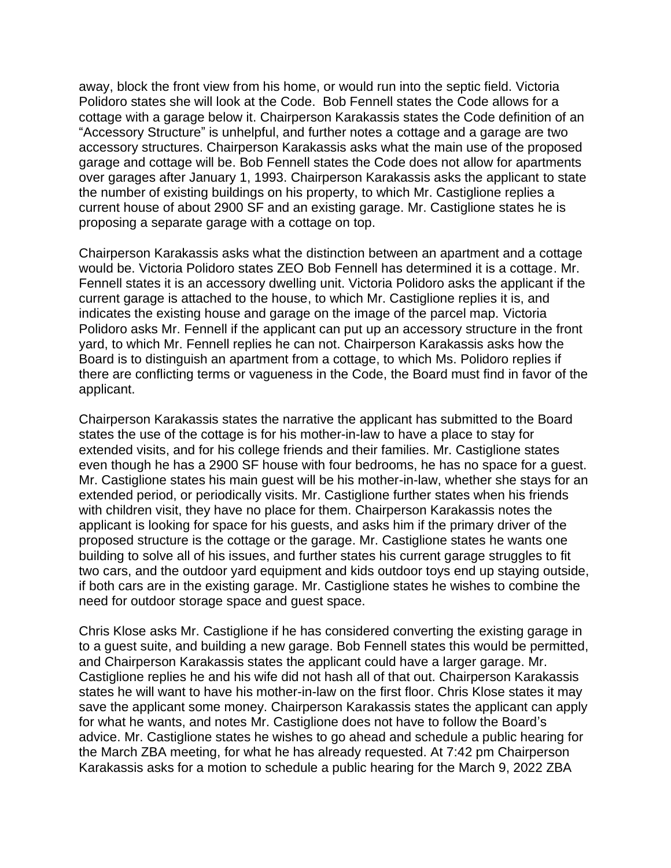away, block the front view from his home, or would run into the septic field. Victoria Polidoro states she will look at the Code. Bob Fennell states the Code allows for a cottage with a garage below it. Chairperson Karakassis states the Code definition of an "Accessory Structure" is unhelpful, and further notes a cottage and a garage are two accessory structures. Chairperson Karakassis asks what the main use of the proposed garage and cottage will be. Bob Fennell states the Code does not allow for apartments over garages after January 1, 1993. Chairperson Karakassis asks the applicant to state the number of existing buildings on his property, to which Mr. Castiglione replies a current house of about 2900 SF and an existing garage. Mr. Castiglione states he is proposing a separate garage with a cottage on top.

Chairperson Karakassis asks what the distinction between an apartment and a cottage would be. Victoria Polidoro states ZEO Bob Fennell has determined it is a cottage. Mr. Fennell states it is an accessory dwelling unit. Victoria Polidoro asks the applicant if the current garage is attached to the house, to which Mr. Castiglione replies it is, and indicates the existing house and garage on the image of the parcel map. Victoria Polidoro asks Mr. Fennell if the applicant can put up an accessory structure in the front yard, to which Mr. Fennell replies he can not. Chairperson Karakassis asks how the Board is to distinguish an apartment from a cottage, to which Ms. Polidoro replies if there are conflicting terms or vagueness in the Code, the Board must find in favor of the applicant.

Chairperson Karakassis states the narrative the applicant has submitted to the Board states the use of the cottage is for his mother-in-law to have a place to stay for extended visits, and for his college friends and their families. Mr. Castiglione states even though he has a 2900 SF house with four bedrooms, he has no space for a guest. Mr. Castiglione states his main guest will be his mother-in-law, whether she stays for an extended period, or periodically visits. Mr. Castiglione further states when his friends with children visit, they have no place for them. Chairperson Karakassis notes the applicant is looking for space for his guests, and asks him if the primary driver of the proposed structure is the cottage or the garage. Mr. Castiglione states he wants one building to solve all of his issues, and further states his current garage struggles to fit two cars, and the outdoor yard equipment and kids outdoor toys end up staying outside, if both cars are in the existing garage. Mr. Castiglione states he wishes to combine the need for outdoor storage space and guest space.

Chris Klose asks Mr. Castiglione if he has considered converting the existing garage in to a guest suite, and building a new garage. Bob Fennell states this would be permitted, and Chairperson Karakassis states the applicant could have a larger garage. Mr. Castiglione replies he and his wife did not hash all of that out. Chairperson Karakassis states he will want to have his mother-in-law on the first floor. Chris Klose states it may save the applicant some money. Chairperson Karakassis states the applicant can apply for what he wants, and notes Mr. Castiglione does not have to follow the Board's advice. Mr. Castiglione states he wishes to go ahead and schedule a public hearing for the March ZBA meeting, for what he has already requested. At 7:42 pm Chairperson Karakassis asks for a motion to schedule a public hearing for the March 9, 2022 ZBA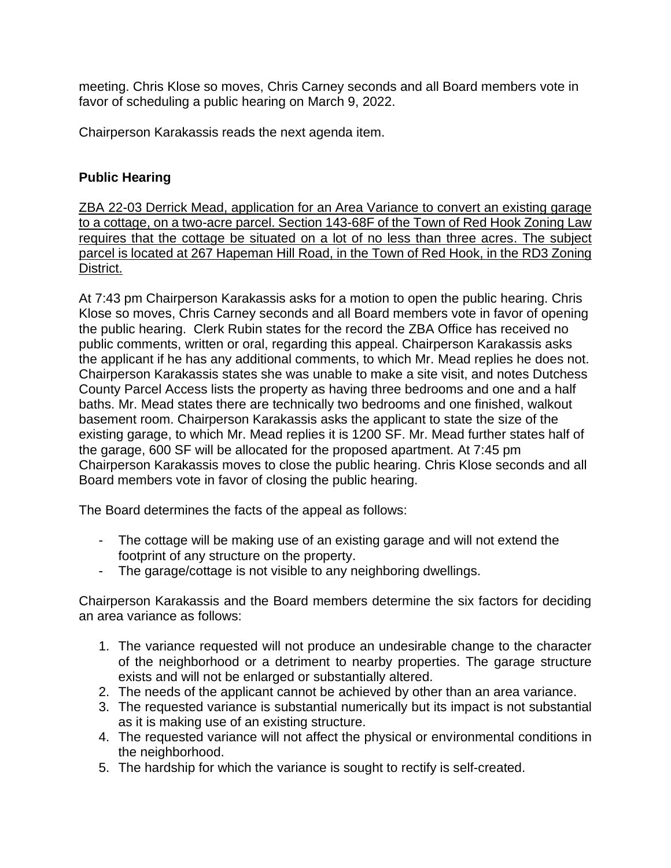meeting. Chris Klose so moves, Chris Carney seconds and all Board members vote in favor of scheduling a public hearing on March 9, 2022.

Chairperson Karakassis reads the next agenda item.

# **Public Hearing**

ZBA 22-03 Derrick Mead, application for an Area Variance to convert an existing garage to a cottage, on a two-acre parcel. Section 143-68F of the Town of Red Hook Zoning Law requires that the cottage be situated on a lot of no less than three acres. The subject parcel is located at 267 Hapeman Hill Road, in the Town of Red Hook, in the RD3 Zoning District.

At 7:43 pm Chairperson Karakassis asks for a motion to open the public hearing. Chris Klose so moves, Chris Carney seconds and all Board members vote in favor of opening the public hearing. Clerk Rubin states for the record the ZBA Office has received no public comments, written or oral, regarding this appeal. Chairperson Karakassis asks the applicant if he has any additional comments, to which Mr. Mead replies he does not. Chairperson Karakassis states she was unable to make a site visit, and notes Dutchess County Parcel Access lists the property as having three bedrooms and one and a half baths. Mr. Mead states there are technically two bedrooms and one finished, walkout basement room. Chairperson Karakassis asks the applicant to state the size of the existing garage, to which Mr. Mead replies it is 1200 SF. Mr. Mead further states half of the garage, 600 SF will be allocated for the proposed apartment. At 7:45 pm Chairperson Karakassis moves to close the public hearing. Chris Klose seconds and all Board members vote in favor of closing the public hearing.

The Board determines the facts of the appeal as follows:

- The cottage will be making use of an existing garage and will not extend the footprint of any structure on the property.
- The garage/cottage is not visible to any neighboring dwellings.

Chairperson Karakassis and the Board members determine the six factors for deciding an area variance as follows:

- 1. The variance requested will not produce an undesirable change to the character of the neighborhood or a detriment to nearby properties. The garage structure exists and will not be enlarged or substantially altered.
- 2. The needs of the applicant cannot be achieved by other than an area variance.
- 3. The requested variance is substantial numerically but its impact is not substantial as it is making use of an existing structure.
- 4. The requested variance will not affect the physical or environmental conditions in the neighborhood.
- 5. The hardship for which the variance is sought to rectify is self-created.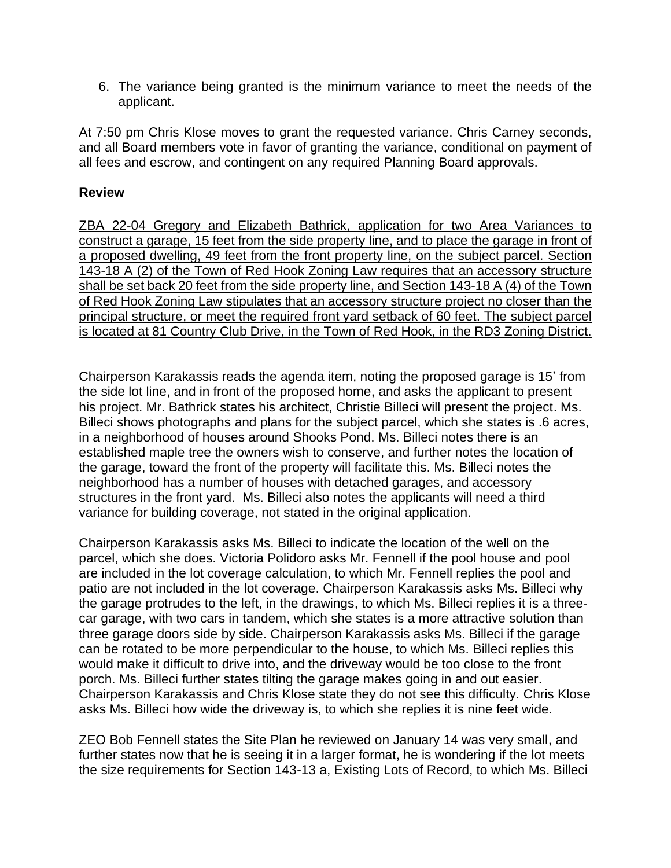6. The variance being granted is the minimum variance to meet the needs of the applicant.

At 7:50 pm Chris Klose moves to grant the requested variance. Chris Carney seconds, and all Board members vote in favor of granting the variance, conditional on payment of all fees and escrow, and contingent on any required Planning Board approvals.

#### **Review**

ZBA 22-04 Gregory and Elizabeth Bathrick, application for two Area Variances to construct a garage, 15 feet from the side property line, and to place the garage in front of a proposed dwelling, 49 feet from the front property line, on the subject parcel. Section 143-18 A (2) of the Town of Red Hook Zoning Law requires that an accessory structure shall be set back 20 feet from the side property line, and Section 143-18 A (4) of the Town of Red Hook Zoning Law stipulates that an accessory structure project no closer than the principal structure, or meet the required front yard setback of 60 feet. The subject parcel is located at 81 Country Club Drive, in the Town of Red Hook, in the RD3 Zoning District.

Chairperson Karakassis reads the agenda item, noting the proposed garage is 15' from the side lot line, and in front of the proposed home, and asks the applicant to present his project. Mr. Bathrick states his architect, Christie Billeci will present the project. Ms. Billeci shows photographs and plans for the subject parcel, which she states is .6 acres, in a neighborhood of houses around Shooks Pond. Ms. Billeci notes there is an established maple tree the owners wish to conserve, and further notes the location of the garage, toward the front of the property will facilitate this. Ms. Billeci notes the neighborhood has a number of houses with detached garages, and accessory structures in the front yard. Ms. Billeci also notes the applicants will need a third variance for building coverage, not stated in the original application.

Chairperson Karakassis asks Ms. Billeci to indicate the location of the well on the parcel, which she does. Victoria Polidoro asks Mr. Fennell if the pool house and pool are included in the lot coverage calculation, to which Mr. Fennell replies the pool and patio are not included in the lot coverage. Chairperson Karakassis asks Ms. Billeci why the garage protrudes to the left, in the drawings, to which Ms. Billeci replies it is a threecar garage, with two cars in tandem, which she states is a more attractive solution than three garage doors side by side. Chairperson Karakassis asks Ms. Billeci if the garage can be rotated to be more perpendicular to the house, to which Ms. Billeci replies this would make it difficult to drive into, and the driveway would be too close to the front porch. Ms. Billeci further states tilting the garage makes going in and out easier. Chairperson Karakassis and Chris Klose state they do not see this difficulty. Chris Klose asks Ms. Billeci how wide the driveway is, to which she replies it is nine feet wide.

ZEO Bob Fennell states the Site Plan he reviewed on January 14 was very small, and further states now that he is seeing it in a larger format, he is wondering if the lot meets the size requirements for Section 143-13 a, Existing Lots of Record, to which Ms. Billeci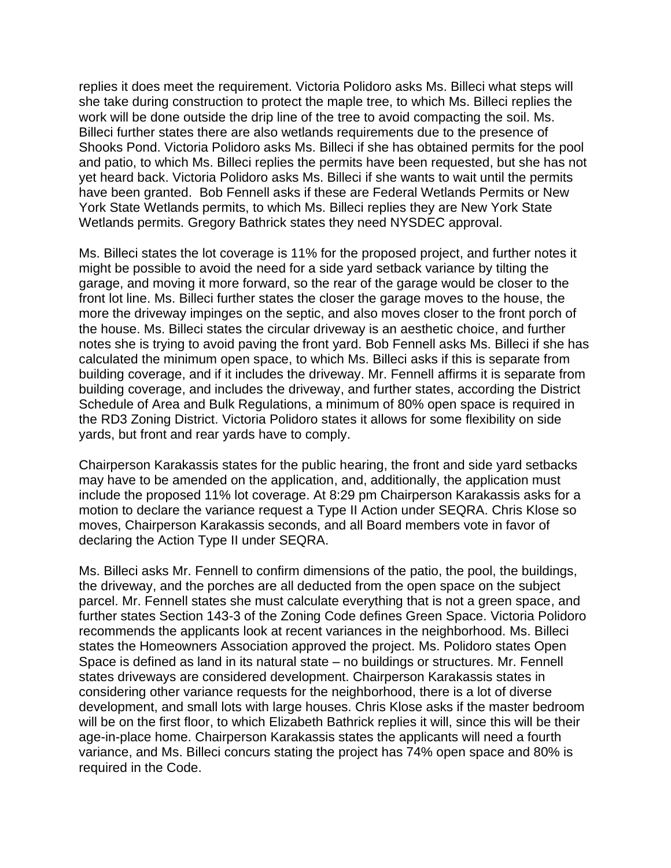replies it does meet the requirement. Victoria Polidoro asks Ms. Billeci what steps will she take during construction to protect the maple tree, to which Ms. Billeci replies the work will be done outside the drip line of the tree to avoid compacting the soil. Ms. Billeci further states there are also wetlands requirements due to the presence of Shooks Pond. Victoria Polidoro asks Ms. Billeci if she has obtained permits for the pool and patio, to which Ms. Billeci replies the permits have been requested, but she has not yet heard back. Victoria Polidoro asks Ms. Billeci if she wants to wait until the permits have been granted. Bob Fennell asks if these are Federal Wetlands Permits or New York State Wetlands permits, to which Ms. Billeci replies they are New York State Wetlands permits. Gregory Bathrick states they need NYSDEC approval.

Ms. Billeci states the lot coverage is 11% for the proposed project, and further notes it might be possible to avoid the need for a side yard setback variance by tilting the garage, and moving it more forward, so the rear of the garage would be closer to the front lot line. Ms. Billeci further states the closer the garage moves to the house, the more the driveway impinges on the septic, and also moves closer to the front porch of the house. Ms. Billeci states the circular driveway is an aesthetic choice, and further notes she is trying to avoid paving the front yard. Bob Fennell asks Ms. Billeci if she has calculated the minimum open space, to which Ms. Billeci asks if this is separate from building coverage, and if it includes the driveway. Mr. Fennell affirms it is separate from building coverage, and includes the driveway, and further states, according the District Schedule of Area and Bulk Regulations, a minimum of 80% open space is required in the RD3 Zoning District. Victoria Polidoro states it allows for some flexibility on side yards, but front and rear yards have to comply.

Chairperson Karakassis states for the public hearing, the front and side yard setbacks may have to be amended on the application, and, additionally, the application must include the proposed 11% lot coverage. At 8:29 pm Chairperson Karakassis asks for a motion to declare the variance request a Type II Action under SEQRA. Chris Klose so moves, Chairperson Karakassis seconds, and all Board members vote in favor of declaring the Action Type II under SEQRA.

Ms. Billeci asks Mr. Fennell to confirm dimensions of the patio, the pool, the buildings, the driveway, and the porches are all deducted from the open space on the subject parcel. Mr. Fennell states she must calculate everything that is not a green space, and further states Section 143-3 of the Zoning Code defines Green Space. Victoria Polidoro recommends the applicants look at recent variances in the neighborhood. Ms. Billeci states the Homeowners Association approved the project. Ms. Polidoro states Open Space is defined as land in its natural state – no buildings or structures. Mr. Fennell states driveways are considered development. Chairperson Karakassis states in considering other variance requests for the neighborhood, there is a lot of diverse development, and small lots with large houses. Chris Klose asks if the master bedroom will be on the first floor, to which Elizabeth Bathrick replies it will, since this will be their age-in-place home. Chairperson Karakassis states the applicants will need a fourth variance, and Ms. Billeci concurs stating the project has 74% open space and 80% is required in the Code.